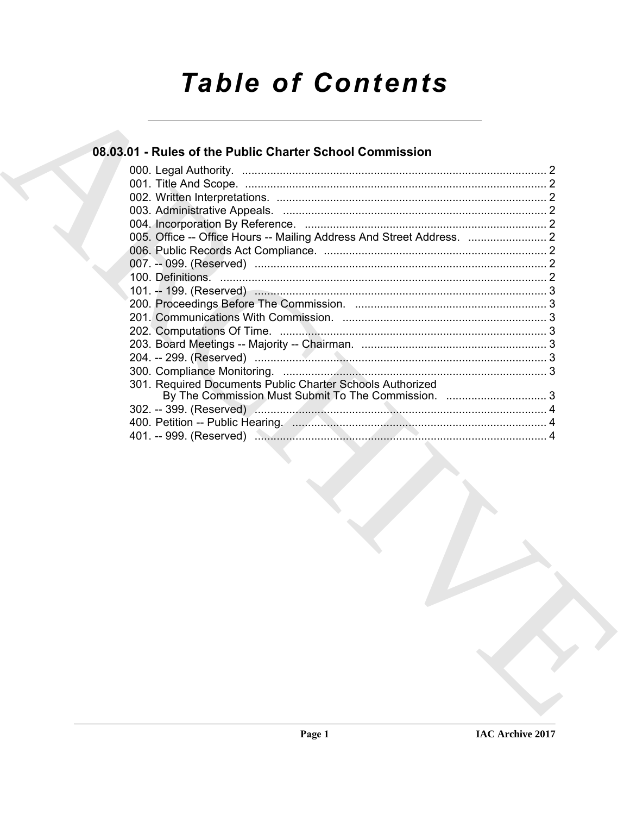# **Table of Contents**

### 08.03.01 - Rules of the Public Charter School Commission

| 301. Required Documents Public Charter Schools Authorized |  |
|-----------------------------------------------------------|--|
| By The Commission Must Submit To The Commission.  3       |  |
|                                                           |  |
|                                                           |  |
|                                                           |  |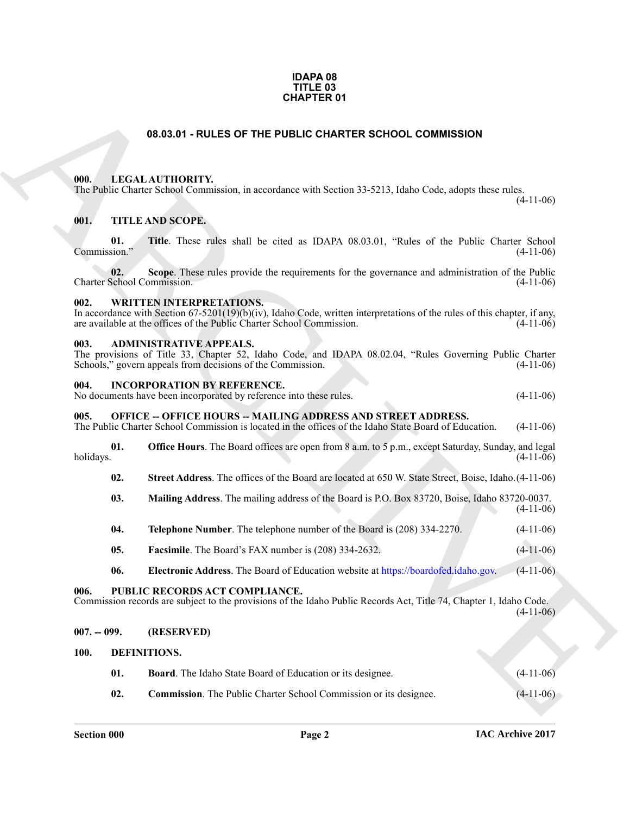#### **IDAPA 08 TITLE 03 CHAPTER 01**

#### **08.03.01 - RULES OF THE PUBLIC CHARTER SCHOOL COMMISSION**

#### <span id="page-1-1"></span><span id="page-1-0"></span>**000. LEGAL AUTHORITY.**

The Public Charter School Commission, in accordance with Section 33-5213, Idaho Code, adopts these rules.

(4-11-06)

#### <span id="page-1-2"></span>**001. TITLE AND SCOPE.**

**CHAPTER OF**<br> **CHARCHI[VE](https://boardofed.idaho.gov) OF THE PUBLIC CHARTER SCHOOL COMMISSION**<br>
THE LABOR COMENTY (ELECTRONIC SUBSECTIVE)<br> **CHARCHIVE COMENTY (ELECTRONIC SUBSECT)**<br> **CHARCHIVE COMENTY** (ELECTRONIC SUBSECT)<br> **COMENTY (ELECTRONIC SUBSEC 01.** Title. These rules shall be cited as IDAPA 08.03.01, "Rules of the Public Charter School sion." (4-11-06) Commission."

**02.** Scope. These rules provide the requirements for the governance and administration of the Public School Commission. (4-11-06) Charter School Commission.

#### <span id="page-1-3"></span>**002. WRITTEN INTERPRETATIONS.**

In accordance with Section 67-5201(19)(b)(iv), Idaho Code, written interpretations of the rules of this chapter, if any, are available at the offices of the Public Charter School Commission. (4-11-06)

#### <span id="page-1-4"></span>**003. ADMINISTRATIVE APPEALS.**

The provisions of Title 33, Chapter 52, Idaho Code, and IDAPA 08.02.04, "Rules Governing Public Charter Schools," govern appeals from decisions of the Commission. (4-11-06) Schools," govern appeals from decisions of the Commission.

#### <span id="page-1-5"></span>**004. INCORPORATION BY REFERENCE.**

No documents have been incorporated by reference into these rules. (4-11-06)

#### <span id="page-1-6"></span>**005. OFFICE -- OFFICE HOURS -- MAILING ADDRESS AND STREET ADDRESS.**

The Public Charter School Commission is located in the offices of the Idaho State Board of Education. (4-11-06)

**01. Office Hours**. The Board offices are open from 8 a.m. to 5 p.m., except Saturday, Sunday, and legal holidays. (4-11-06) holidays. (4-11-06)

**02. Street Address**. The offices of the Board are located at 650 W. State Street, Boise, Idaho.(4-11-06)

- **03. Mailing Address**. The mailing address of the Board is P.O. Box 83720, Boise, Idaho 83720-0037. (4-11-06)
- **04. Telephone Number**. The telephone number of the Board is (208) 334-2270. (4-11-06)
- **05. Facsimile**. The Board's FAX number is (208) 334-2632. (4-11-06)
- **06. Electronic Address**. The Board of Education website at https://boardofed.idaho.gov. (4-11-06)

#### <span id="page-1-7"></span>**006. PUBLIC RECORDS ACT COMPLIANCE.**

Commission records are subject to the provisions of the Idaho Public Records Act, Title 74, Chapter 1, Idaho Code.  $(4-11-06)$ 

#### <span id="page-1-8"></span>**007. -- 099. (RESERVED)**

#### <span id="page-1-9"></span>**100. DEFINITIONS.**

<span id="page-1-11"></span><span id="page-1-10"></span>

| 01. | <b>Board.</b> The Idaho State Board of Education or its designee. | $(4-11-06)$ |
|-----|-------------------------------------------------------------------|-------------|
|     |                                                                   |             |

<span id="page-1-12"></span>**02.** Commission. The Public Charter School Commission or its designee. (4-11-06)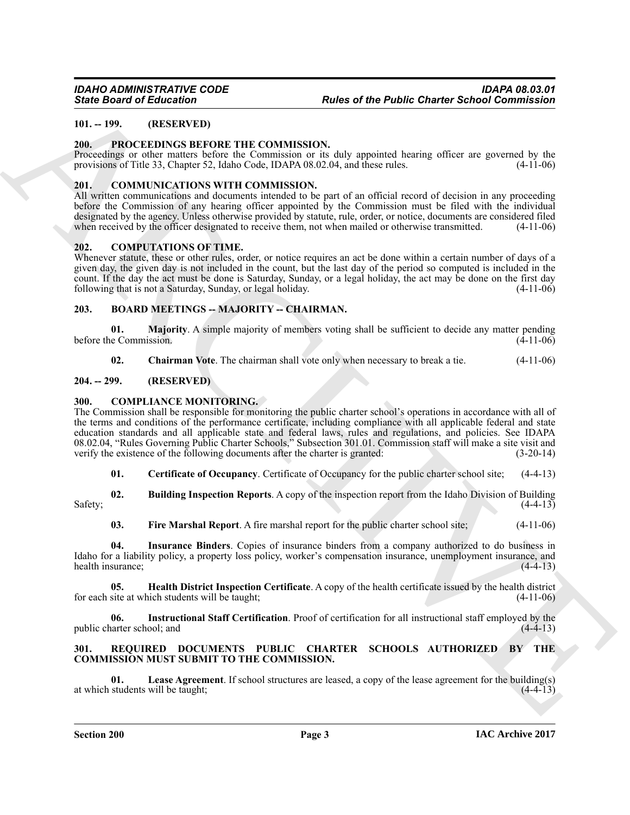#### <span id="page-2-0"></span>**101. -- 199. (RESERVED)**

#### <span id="page-2-20"></span><span id="page-2-1"></span>**200. PROCEEDINGS BEFORE THE COMMISSION.**

Proceedings or other matters before the Commission or its duly appointed hearing officer are governed by the provisions of Title 33, Chapter 52, Idaho Code, IDAPA 08.02.04, and these rules. (4-11-06)

#### <span id="page-2-11"></span><span id="page-2-2"></span>**201. COMMUNICATIONS WITH COMMISSION.**

All written communications and documents intended to be part of an official record of decision in any proceeding before the Commission of any hearing officer appointed by the Commission must be filed with the individual designated by the agency. Unless otherwise provided by statute, rule, order, or notice, documents are considered filed when received by the officer designated to receive them, not when mailed or otherwise transmitted. (4-11-06)

#### <span id="page-2-19"></span><span id="page-2-3"></span>**202. COMPUTATIONS OF TIME.**

Whenever statute, these or other rules, order, or notice requires an act be done within a certain number of days of a given day, the given day is not included in the count, but the last day of the period so computed is included in the count. If the day the act must be done is Saturday, Sunday, or a legal holiday, the act may be done on the first day following that is not a Saturday, Sunday, or legal holiday. following that is not a Saturday, Sunday, or legal holiday.

#### <span id="page-2-8"></span><span id="page-2-4"></span>**203. BOARD MEETINGS -- MAJORITY -- CHAIRMAN.**

**01. Majority**. A simple majority of members voting shall be sufficient to decide any matter pending e Commission. (4-11-06) before the Commission.

<span id="page-2-12"></span><span id="page-2-10"></span><span id="page-2-9"></span>**02. Chairman Vote**. The chairman shall vote only when necessary to break a tie. (4-11-06)

#### <span id="page-2-5"></span>**204. -- 299. (RESERVED)**

#### <span id="page-2-6"></span>**300. COMPLIANCE MONITORING.**

Since Doard of Eclication<br>
19. The March Constraints Party CONMISSION.<br>
19. The March Constraints Party CONMISSION.<br>
20. The March Constraints Party Constraints Party Constraints Party decrease where the respect of the sp The Commission shall be responsible for monitoring the public charter school's operations in accordance with all of the terms and conditions of the performance certificate, including compliance with all applicable federal and state education standards and all applicable state and federal laws, rules and regulations, and policies. See IDAPA 08.02.04, "Rules Governing Public Charter Schools," Subsection 301.01. Commission staff will make a site visit and verify the existence of the following documents after the charter is granted: (3-20-14)

<span id="page-2-14"></span><span id="page-2-13"></span>**01. Certificate of Occupancy**. Certificate of Occupancy for the public charter school site; (4-4-13)

**02. Building Inspection Reports**. A copy of the inspection report from the Idaho Division of Building  $Safety;$  (4-4-13)

<span id="page-2-18"></span><span id="page-2-16"></span><span id="page-2-15"></span>**03. Fire Marshal Report**. A fire marshal report for the public charter school site; (4-11-06)

**04. Insurance Binders**. Copies of insurance binders from a company authorized to do business in Idaho for a liability policy, a property loss policy, worker's compensation insurance, unemployment insurance, and health insurance; (4-4-13) health insurance;

**05. Health District Inspection Certificate**. A copy of the health certificate issued by the health district for each site at which students will be taught; (4-11-06)

<span id="page-2-17"></span>**06. Instructional Staff Certification**. Proof of certification for all instructional staff employed by the public charter school; and

#### <span id="page-2-21"></span><span id="page-2-7"></span>**301. REQUIRED DOCUMENTS PUBLIC CHARTER SCHOOLS AUTHORIZED BY THE COMMISSION MUST SUBMIT TO THE COMMISSION.**

<span id="page-2-22"></span>**01.** Lease Agreement. If school structures are leased, a copy of the lease agreement for the building(s) students will be taught; (4-4-13) at which students will be taught;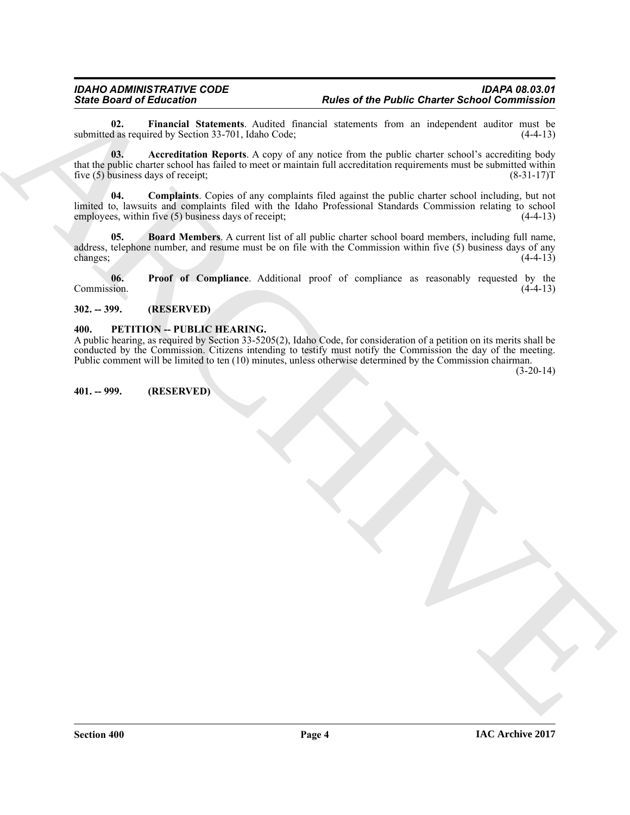<span id="page-3-7"></span><span id="page-3-4"></span>**02. Financial Statements**. Audited financial statements from an independent auditor must be submitted as required by Section 33-701, Idaho Code;

**Since of the Public Charter School Commission**<br> **ARCHIVE COMPRODUCTS**<br> **ARCHIVE COMPANY CONTROL** CONTINUES CONTROL AND CONTROL CONTROL CONTROL CONTROL CONTROL CONTROL CONTROL CONTROL CONTROL CONTROL CONTROL CONTROL CONTR **03. Accreditation Reports**. A copy of any notice from the public charter school's accrediting body that the public charter school has failed to meet or maintain full accreditation requirements must be submitted within five (5) business days of receipt; (8-31-17)T

<span id="page-3-6"></span>**04. Complaints**. Copies of any complaints filed against the public charter school including, but not limited to, lawsuits and complaints filed with the Idaho Professional Standards Commission relating to school employees, within five (5) business days of receipt; (4-4-13)

<span id="page-3-5"></span>**05. Board Members**. A current list of all public charter school board members, including full name, address, telephone number, and resume must be on file with the Commission within five (5) business days of any changes; (4-4-13)

<span id="page-3-8"></span>**06.** Proof of Compliance. Additional proof of compliance as reasonably requested by the Commission. (4-4-13) Commission. (4-4-13)

#### <span id="page-3-0"></span>**302. -- 399. (RESERVED)**

#### <span id="page-3-3"></span><span id="page-3-1"></span>**400. PETITION -- PUBLIC HEARING.**

A public hearing, as required by Section 33-5205(2), Idaho Code, for consideration of a petition on its merits shall be conducted by the Commission. Citizens intending to testify must notify the Commission the day of the meeting. Public comment will be limited to ten (10) minutes, unless otherwise determined by the Commission chairman.

(3-20-14)

<span id="page-3-2"></span>**401. -- 999. (RESERVED)**